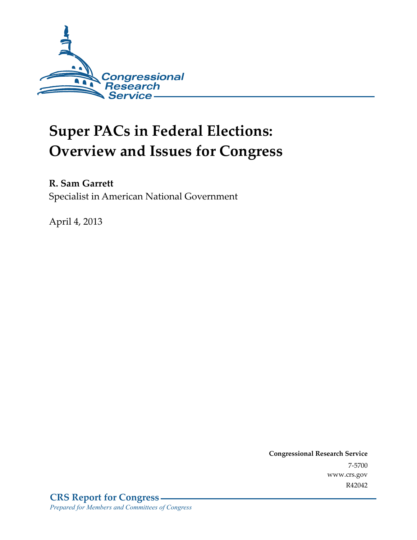

# **Super PACs in Federal Elections: Overview and Issues for Congress**

### **R. Sam Garrett**

Specialist in American National Government

April 4, 2013

**Congressional Research Service**  7-5700 www.crs.gov R42042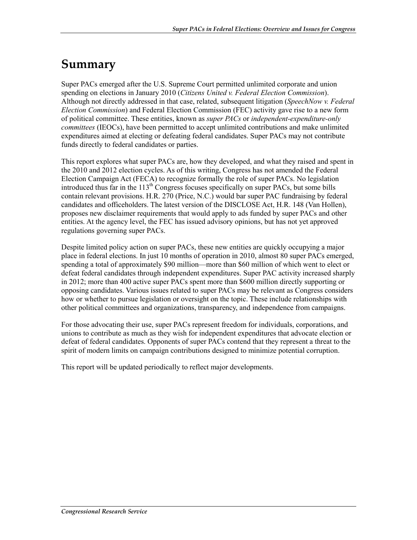## **Summary**

Super PACs emerged after the U.S. Supreme Court permitted unlimited corporate and union spending on elections in January 2010 (*Citizens United v. Federal Election Commission*). Although not directly addressed in that case, related, subsequent litigation (*SpeechNow v. Federal Election Commission*) and Federal Election Commission (FEC) activity gave rise to a new form of political committee. These entities, known as *super PACs* or *independent-expenditure-only committees* (IEOCs), have been permitted to accept unlimited contributions and make unlimited expenditures aimed at electing or defeating federal candidates. Super PACs may not contribute funds directly to federal candidates or parties.

This report explores what super PACs are, how they developed, and what they raised and spent in the 2010 and 2012 election cycles. As of this writing, Congress has not amended the Federal Election Campaign Act (FECA) to recognize formally the role of super PACs. No legislation introduced thus far in the  $113<sup>th</sup>$  Congress focuses specifically on super PACs, but some bills contain relevant provisions. H.R. 270 (Price, N.C.) would bar super PAC fundraising by federal candidates and officeholders. The latest version of the DISCLOSE Act, H.R. 148 (Van Hollen), proposes new disclaimer requirements that would apply to ads funded by super PACs and other entities. At the agency level, the FEC has issued advisory opinions, but has not yet approved regulations governing super PACs.

Despite limited policy action on super PACs, these new entities are quickly occupying a major place in federal elections. In just 10 months of operation in 2010, almost 80 super PACs emerged, spending a total of approximately \$90 million—more than \$60 million of which went to elect or defeat federal candidates through independent expenditures. Super PAC activity increased sharply in 2012; more than 400 active super PACs spent more than \$600 million directly supporting or opposing candidates. Various issues related to super PACs may be relevant as Congress considers how or whether to pursue legislation or oversight on the topic. These include relationships with other political committees and organizations, transparency, and independence from campaigns.

For those advocating their use, super PACs represent freedom for individuals, corporations, and unions to contribute as much as they wish for independent expenditures that advocate election or defeat of federal candidates. Opponents of super PACs contend that they represent a threat to the spirit of modern limits on campaign contributions designed to minimize potential corruption.

This report will be updated periodically to reflect major developments.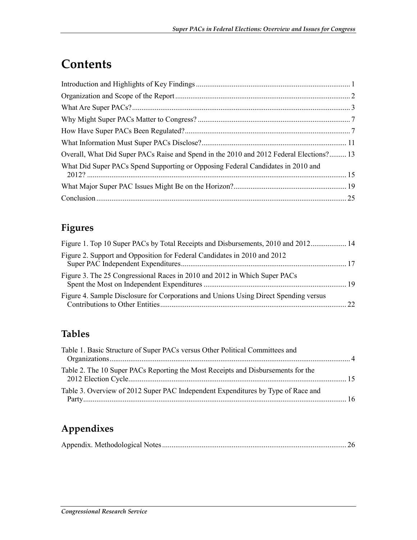# **Contents**

| Overall, What Did Super PACs Raise and Spend in the 2010 and 2012 Federal Elections? 13 |  |
|-----------------------------------------------------------------------------------------|--|
| What Did Super PACs Spend Supporting or Opposing Federal Candidates in 2010 and         |  |
|                                                                                         |  |
|                                                                                         |  |

### **Figures**

| Figure 1. Top 10 Super PACs by Total Receipts and Disbursements, 2010 and 2012 14    |  |
|--------------------------------------------------------------------------------------|--|
| Figure 2. Support and Opposition for Federal Candidates in 2010 and 2012             |  |
| Figure 3. The 25 Congressional Races in 2010 and 2012 in Which Super PACs            |  |
| Figure 4. Sample Disclosure for Corporations and Unions Using Direct Spending versus |  |

### **Tables**

| Table 1. Basic Structure of Super PACs versus Other Political Committees and     |  |
|----------------------------------------------------------------------------------|--|
| Table 2. The 10 Super PACs Reporting the Most Receipts and Disbursements for the |  |
| Table 3. Overview of 2012 Super PAC Independent Expenditures by Type of Race and |  |

### **Appendixes**

|--|--|--|--|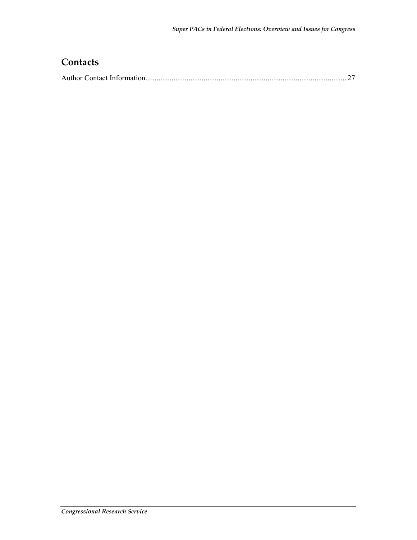### **Contacts**

|--|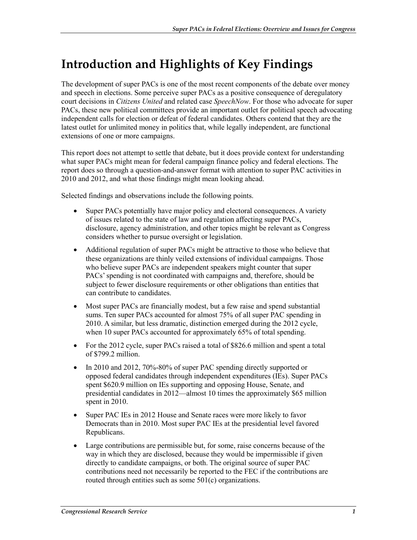## **Introduction and Highlights of Key Findings**

The development of super PACs is one of the most recent components of the debate over money and speech in elections. Some perceive super PACs as a positive consequence of deregulatory court decisions in *Citizens United* and related case *SpeechNow*. For those who advocate for super PACs, these new political committees provide an important outlet for political speech advocating independent calls for election or defeat of federal candidates. Others contend that they are the latest outlet for unlimited money in politics that, while legally independent, are functional extensions of one or more campaigns.

This report does not attempt to settle that debate, but it does provide context for understanding what super PACs might mean for federal campaign finance policy and federal elections. The report does so through a question-and-answer format with attention to super PAC activities in 2010 and 2012, and what those findings might mean looking ahead.

Selected findings and observations include the following points.

- Super PACs potentially have major policy and electoral consequences. A variety of issues related to the state of law and regulation affecting super PACs, disclosure, agency administration, and other topics might be relevant as Congress considers whether to pursue oversight or legislation.
- Additional regulation of super PACs might be attractive to those who believe that these organizations are thinly veiled extensions of individual campaigns. Those who believe super PACs are independent speakers might counter that super PACs' spending is not coordinated with campaigns and, therefore, should be subject to fewer disclosure requirements or other obligations than entities that can contribute to candidates.
- Most super PACs are financially modest, but a few raise and spend substantial sums. Ten super PACs accounted for almost 75% of all super PAC spending in 2010. A similar, but less dramatic, distinction emerged during the 2012 cycle, when 10 super PACs accounted for approximately 65% of total spending.
- For the 2012 cycle, super PACs raised a total of \$826.6 million and spent a total of \$799.2 million.
- In 2010 and 2012, 70%-80% of super PAC spending directly supported or opposed federal candidates through independent expenditures (IEs). Super PACs spent \$620.9 million on IEs supporting and opposing House, Senate, and presidential candidates in 2012—almost 10 times the approximately \$65 million spent in 2010.
- Super PAC IEs in 2012 House and Senate races were more likely to favor Democrats than in 2010. Most super PAC IEs at the presidential level favored Republicans.
- Large contributions are permissible but, for some, raise concerns because of the way in which they are disclosed, because they would be impermissible if given directly to candidate campaigns, or both. The original source of super PAC contributions need not necessarily be reported to the FEC if the contributions are routed through entities such as some 501(c) organizations.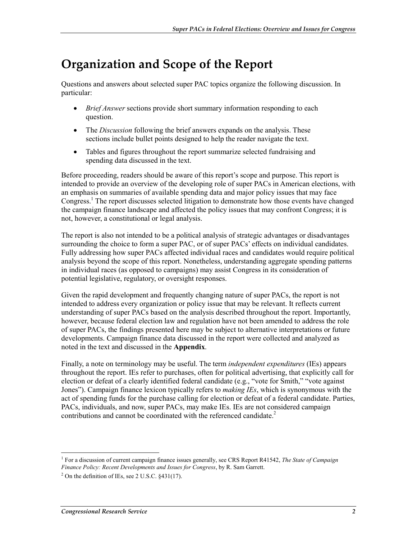## **Organization and Scope of the Report**

Questions and answers about selected super PAC topics organize the following discussion. In particular:

- *Brief Answer* sections provide short summary information responding to each question.
- The *Discussion* following the brief answers expands on the analysis. These sections include bullet points designed to help the reader navigate the text.
- Tables and figures throughout the report summarize selected fundraising and spending data discussed in the text.

Before proceeding, readers should be aware of this report's scope and purpose. This report is intended to provide an overview of the developing role of super PACs in American elections, with an emphasis on summaries of available spending data and major policy issues that may face Congress.<sup>1</sup> The report discusses selected litigation to demonstrate how those events have changed the campaign finance landscape and affected the policy issues that may confront Congress; it is not, however, a constitutional or legal analysis.

The report is also not intended to be a political analysis of strategic advantages or disadvantages surrounding the choice to form a super PAC, or of super PACs' effects on individual candidates. Fully addressing how super PACs affected individual races and candidates would require political analysis beyond the scope of this report. Nonetheless, understanding aggregate spending patterns in individual races (as opposed to campaigns) may assist Congress in its consideration of potential legislative, regulatory, or oversight responses.

Given the rapid development and frequently changing nature of super PACs, the report is not intended to address every organization or policy issue that may be relevant. It reflects current understanding of super PACs based on the analysis described throughout the report. Importantly, however, because federal election law and regulation have not been amended to address the role of super PACs, the findings presented here may be subject to alternative interpretations or future developments. Campaign finance data discussed in the report were collected and analyzed as noted in the text and discussed in the **Appendix**.

Finally, a note on terminology may be useful. The term *independent expenditures* (IEs) appears throughout the report. IEs refer to purchases, often for political advertising, that explicitly call for election or defeat of a clearly identified federal candidate (e.g., "vote for Smith," "vote against Jones"). Campaign finance lexicon typically refers to *making IEs*, which is synonymous with the act of spending funds for the purchase calling for election or defeat of a federal candidate. Parties, PACs, individuals, and now, super PACs, may make IEs. IEs are not considered campaign contributions and cannot be coordinated with the referenced candidate.<sup>2</sup>

<sup>&</sup>lt;sup>1</sup> For a discussion of current campaign finance issues generally, see CRS Report R41542, *The State of Campaign Finance Policy: Recent Developments and Issues for Congress*, by R. Sam Garrett.

 $2$  On the definition of IEs, see 2 U.S.C.  $\S$ 431(17).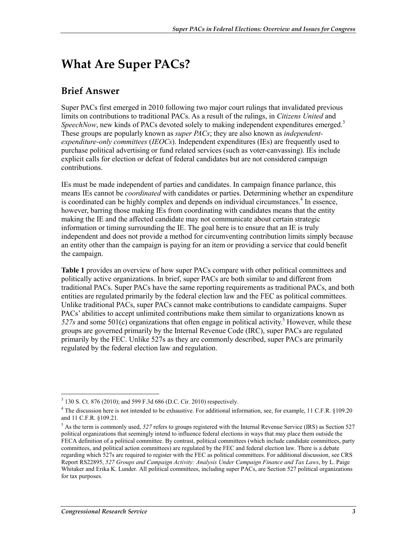## **What Are Super PACs?**

### **Brief Answer**

Super PACs first emerged in 2010 following two major court rulings that invalidated previous limits on contributions to traditional PACs. As a result of the rulings, in *Citizens United* and *SpeechNow*, new kinds of PACs devoted solely to making independent expenditures emerged.<sup>3</sup> These groups are popularly known as *super PACs*; they are also known as *independentexpenditure-only committees* (*IEOCs*). Independent expenditures (IEs) are frequently used to purchase political advertising or fund related services (such as voter-canvassing). IEs include explicit calls for election or defeat of federal candidates but are not considered campaign contributions.

IEs must be made independent of parties and candidates. In campaign finance parlance, this means IEs cannot be *coordinated* with candidates or parties. Determining whether an expenditure is coordinated can be highly complex and depends on individual circumstances.<sup>4</sup> In essence, however, barring those making IEs from coordinating with candidates means that the entity making the IE and the affected candidate may not communicate about certain strategic information or timing surrounding the IE. The goal here is to ensure that an IE is truly independent and does not provide a method for circumventing contribution limits simply because an entity other than the campaign is paying for an item or providing a service that could benefit the campaign.

**Table 1** provides an overview of how super PACs compare with other political committees and politically active organizations. In brief, super PACs are both similar to and different from traditional PACs. Super PACs have the same reporting requirements as traditional PACs, and both entities are regulated primarily by the federal election law and the FEC as political committees. Unlike traditional PACs, super PACs cannot make contributions to candidate campaigns. Super PACs' abilities to accept unlimited contributions make them similar to organizations known as  $527s$  and some  $501(c)$  organizations that often engage in political activity.<sup>5</sup> However, while these groups are governed primarily by the Internal Revenue Code (IRC), super PACs are regulated primarily by the FEC. Unlike 527s as they are commonly described, super PACs are primarily regulated by the federal election law and regulation.

<sup>&</sup>lt;u>.</u> <sup>3</sup> 130 S. Ct. 876 (2010); and 599 F.3d 686 (D.C. Cir. 2010) respectively.

<sup>4</sup> The discussion here is not intended to be exhaustive. For additional information, see, for example, 11 C.F.R. §109.20 and 11 C.F.R. §109.21.

<sup>&</sup>lt;sup>5</sup> As the term is commonly used, 527 refers to groups registered with the Internal Revenue Service (IRS) as Section 527 political organizations that seemingly intend to influence federal elections in ways that may place them outside the FECA definition of a political committee. By contrast, political committees (which include candidate committees, party committees, and political action committees) are regulated by the FEC and federal election law. There is a debate regarding which 527s are required to register with the FEC as political committees. For additional discussion, see CRS Report RS22895, *527 Groups and Campaign Activity: Analysis Under Campaign Finance and Tax Laws*, by L. Paige Whitaker and Erika K. Lunder. All political committees, including super PACs, are Section 527 political organizations for tax purposes.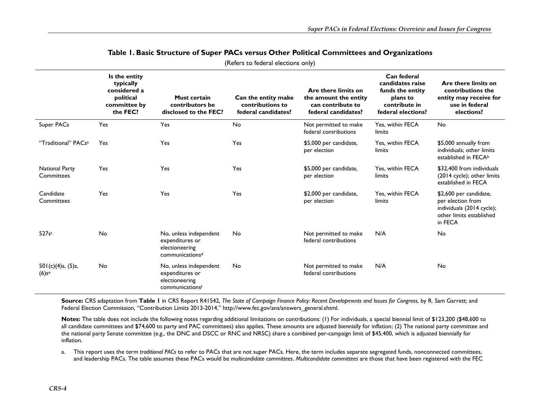|                                     | Is the entity<br>typically<br>considered a<br>political<br>committee by<br>the FEC? | Must certain<br>contributors be<br>disclosed to the FEC?                                   | Can the entity make<br>contributions to<br>federal candidates? | Are there limits on<br>the amount the entity<br>can contribute to<br>federal candidates? | Can federal<br>candidates raise<br>funds the entity<br>plans to<br>contribute in<br>federal elections? | Are there limits on<br>contributions the<br>entity may receive for<br>use in federal<br>elections?              |
|-------------------------------------|-------------------------------------------------------------------------------------|--------------------------------------------------------------------------------------------|----------------------------------------------------------------|------------------------------------------------------------------------------------------|--------------------------------------------------------------------------------------------------------|-----------------------------------------------------------------------------------------------------------------|
| Super PACs                          | Yes                                                                                 | Yes                                                                                        | No                                                             | Not permitted to make<br>federal contributions                                           | Yes, within FECA<br>limits                                                                             | No                                                                                                              |
| "Traditional" PACs <sup>a</sup>     | Yes                                                                                 | Yes                                                                                        | Yes                                                            | \$5,000 per candidate,<br>per election                                                   | Yes, within FECA<br>limits                                                                             | \$5,000 annually from<br>individuals; other limits<br>established in FECA <sup>b</sup>                          |
| National Party<br><b>Committees</b> | Yes                                                                                 | Yes                                                                                        | Yes                                                            | \$5,000 per candidate,<br>per election                                                   | Yes, within FECA<br>limits                                                                             | \$32,400 from individuals<br>(2014 cycle); other limits<br>established in FECA                                  |
| Candidate<br><b>Committees</b>      | Yes                                                                                 | Yes                                                                                        | Yes                                                            | \$2,000 per candidate,<br>per election                                                   | Yes, within FECA<br>limits                                                                             | \$2,600 per candidate,<br>per election from<br>individuals (2014 cycle);<br>other limits established<br>in FECA |
| 527s                                | <b>No</b>                                                                           | No, unless independent<br>expenditures or<br>electioneering<br>communications <sup>d</sup> | No                                                             | Not permitted to make<br>federal contributions                                           | N/A                                                                                                    | No                                                                                                              |
| 501(c)(4)s, (5)s,<br>$(6)$ se       | <b>No</b>                                                                           | No, unless independent<br>expenditures or<br>electioneering<br>communicationsf             | No                                                             | Not permitted to make<br>federal contributions                                           | N/A                                                                                                    | No                                                                                                              |

#### **Table 1. Basic Structure of Super PACs versus Other Political Committees and Organizations**

(Refers to federal elections only)

**Source:** CRS adaptation from **Table 1** in CRS Report R41542, *The State of Campaign Finance Policy: Recent Developments and Issues for Congress*, by R. Sam Garrett; and Federal Election Commission, "Contribution Limits 2013-2014," http://www.fec.gov/ans/answers\_general.shtml.

Notes: The table does not include the following notes regarding additional limitations on contributions: (1) For individuals, a special biennial limit of \$123,200 (\$48,600 to all candidate committees and \$74,600 to party and PAC committees) also applies. These amounts are adjusted biennially for inflation; (2) The national party committee and the national party Senate committee (e.g., the DNC and DSCC or RNC and NRSC) share a combined per-campaign limit of \$45,400, which is adjusted biennially for inflation.

a. This report uses the term *traditional PACs* to refer to PACs that are not super PACs. Here, the term includes separate segregated funds, nonconnected committees, and leadership PACs. The table assumes these PACs would be *multicandidate committees*. *Multicandidate committees* are those that have been registered with the FEC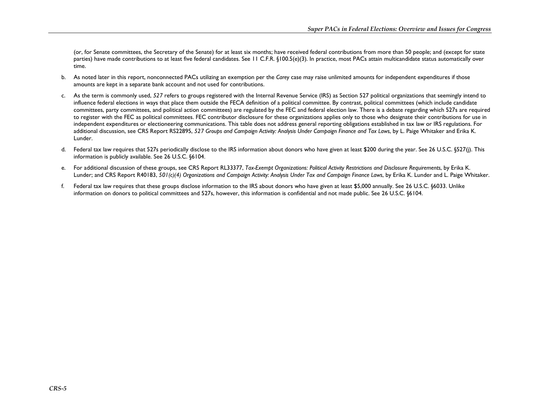(or, for Senate committees, the Secretary of the Senate) for at least six months; have received federal contributions from more than 50 people; and (except for state parties) have made contributions to at least five federal candidates. See 11 C.F.R. §100.5(e)(3). In practice, most PACs attain multicandidate status automatically over time.

- b. As noted later in this report, nonconnected PACs utilizing an exemption per the *Carey* case may raise unlimited amounts for independent expenditures if those amounts are kept in a separate bank account and not used for contributions.
- c. As the term is commonly used, *527* refers to groups registered with the Internal Revenue Service (IRS) as Section 527 political organizations that seemingly intend to influence federal elections in ways that place them outside the FECA definition of a political committee. By contrast, political committees (which include candidate committees, party committees, and political action committees) are regulated by the FEC and federal election law. There is a debate regarding which 527s are required to register with the FEC as political committees. FEC contributor disclosure for these organizations applies only to those who designate their contributions for use in independent expenditures or electioneering communications. This table does not address general reporting obligations established in tax law or IRS regulations. For additional discussion, see CRS Report RS22895, *527 Groups and Campaign Activity: Analysis Under Campaign Finance and Tax Laws*, by L. Paige Whitaker and Erika K. Lunder.
- d. Federal tax law requires that 527s periodically disclose to the IRS information about donors who have given at least \$200 during the year. See 26 U.S.C. §527(j). This information is publicly available. See 26 U.S.C. §6104.
- e. For additional discussion of these groups, see CRS Report RL33377, *Tax-Exempt Organizations: Political Activity Restrictions and Disclosure Requirements*, by Erika K. Lunder; and CRS Report R40183, *501(c)(4) Organizations and Campaign Activity: Analysis Under Tax and Campaign Finance Laws*, by Erika K. Lunder and L. Paige Whitaker.
- f. Federal tax law requires that these groups disclose information to the IRS about donors who have given at least \$5,000 annually. See 26 U.S.C. §6033. Unlike information on donors to political committees and 527s, however, this information is confidential and not made public. See 26 U.S.C. §6104.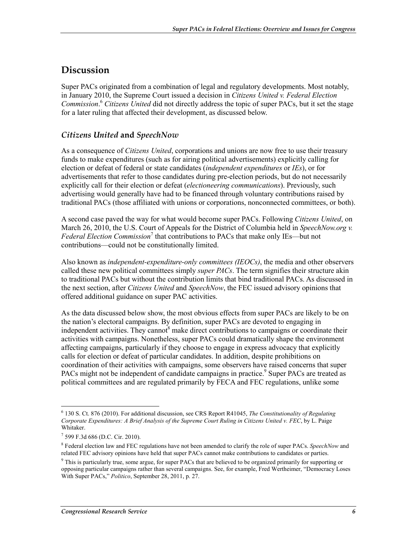### **Discussion**

Super PACs originated from a combination of legal and regulatory developments. Most notably, in January 2010, the Supreme Court issued a decision in *Citizens United v. Federal Election Commission*. <sup>6</sup> *Citizens United* did not directly address the topic of super PACs, but it set the stage for a later ruling that affected their development, as discussed below.

#### *Citizens United* **and** *SpeechNow*

As a consequence of *Citizens United*, corporations and unions are now free to use their treasury funds to make expenditures (such as for airing political advertisements) explicitly calling for election or defeat of federal or state candidates (*independent expenditures* or *IEs*), or for advertisements that refer to those candidates during pre-election periods, but do not necessarily explicitly call for their election or defeat (*electioneering communications*). Previously, such advertising would generally have had to be financed through voluntary contributions raised by traditional PACs (those affiliated with unions or corporations, nonconnected committees, or both).

A second case paved the way for what would become super PACs. Following *Citizens United*, on March 26, 2010, the U.S. Court of Appeals for the District of Columbia held in *SpeechNow.org v.* Federal Election Commission<sup>7</sup> that contributions to PACs that make only IEs—but not contributions—could not be constitutionally limited.

Also known as *independent-expenditure-only committees (IEOCs)*, the media and other observers called these new political committees simply *super PACs*. The term signifies their structure akin to traditional PACs but without the contribution limits that bind traditional PACs. As discussed in the next section, after *Citizens United* and *SpeechNow*, the FEC issued advisory opinions that offered additional guidance on super PAC activities.

As the data discussed below show, the most obvious effects from super PACs are likely to be on the nation's electoral campaigns. By definition, super PACs are devoted to engaging in independent activities. They cannot<sup>8</sup> make direct contributions to campaigns or coordinate their activities with campaigns. Nonetheless, super PACs could dramatically shape the environment affecting campaigns, particularly if they choose to engage in express advocacy that explicitly calls for election or defeat of particular candidates. In addition, despite prohibitions on coordination of their activities with campaigns, some observers have raised concerns that super PACs might not be independent of candidate campaigns in practice.<sup>9</sup> Super PACs are treated as political committees and are regulated primarily by FECA and FEC regulations, unlike some

<sup>6</sup> 130 S. Ct. 876 (2010). For additional discussion, see CRS Report R41045, *The Constitutionality of Regulating Corporate Expenditures: A Brief Analysis of the Supreme Court Ruling in Citizens United v. FEC*, by L. Paige Whitaker.

<sup>7</sup> 599 F.3d 686 (D.C. Cir. 2010).

<sup>8</sup> Federal election law and FEC regulations have not been amended to clarify the role of super PACs. *SpeechNow* and related FEC advisory opinions have held that super PACs cannot make contributions to candidates or parties.

<sup>&</sup>lt;sup>9</sup> This is particularly true, some argue, for super PACs that are believed to be organized primarily for supporting or opposing particular campaigns rather than several campaigns. See, for example, Fred Wertheimer, "Democracy Loses With Super PACs," *Politico*, September 28, 2011, p. 27.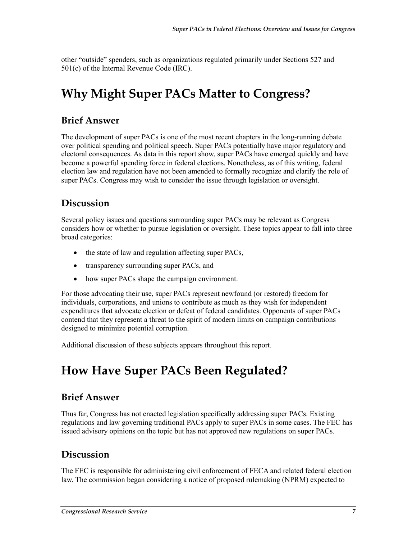other "outside" spenders, such as organizations regulated primarily under Sections 527 and 501(c) of the Internal Revenue Code (IRC).

## **Why Might Super PACs Matter to Congress?**

### **Brief Answer**

The development of super PACs is one of the most recent chapters in the long-running debate over political spending and political speech. Super PACs potentially have major regulatory and electoral consequences. As data in this report show, super PACs have emerged quickly and have become a powerful spending force in federal elections. Nonetheless, as of this writing, federal election law and regulation have not been amended to formally recognize and clarify the role of super PACs. Congress may wish to consider the issue through legislation or oversight.

### **Discussion**

Several policy issues and questions surrounding super PACs may be relevant as Congress considers how or whether to pursue legislation or oversight. These topics appear to fall into three broad categories:

- the state of law and regulation affecting super PACs,
- transparency surrounding super PACs, and
- how super PACs shape the campaign environment.

For those advocating their use, super PACs represent newfound (or restored) freedom for individuals, corporations, and unions to contribute as much as they wish for independent expenditures that advocate election or defeat of federal candidates. Opponents of super PACs contend that they represent a threat to the spirit of modern limits on campaign contributions designed to minimize potential corruption.

Additional discussion of these subjects appears throughout this report.

## **How Have Super PACs Been Regulated?**

### **Brief Answer**

Thus far, Congress has not enacted legislation specifically addressing super PACs. Existing regulations and law governing traditional PACs apply to super PACs in some cases. The FEC has issued advisory opinions on the topic but has not approved new regulations on super PACs.

### **Discussion**

The FEC is responsible for administering civil enforcement of FECA and related federal election law. The commission began considering a notice of proposed rulemaking (NPRM) expected to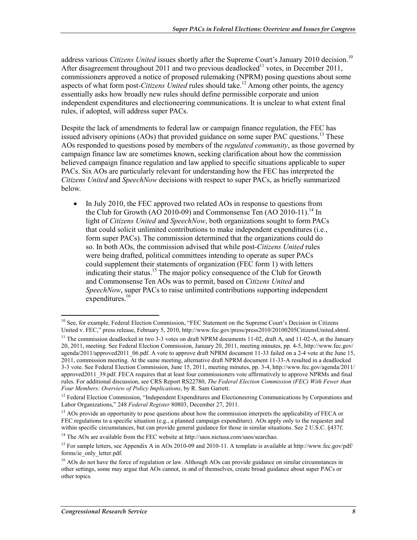address various *Citizens United* issues shortly after the Supreme Court's January 2010 decision.<sup>10</sup> After disagreement throughout 2011 and two previous deadlocked<sup>11</sup> votes, in December 2011, commissioners approved a notice of proposed rulemaking (NPRM) posing questions about some aspects of what form post-*Citizens United* rules should take.<sup>12</sup> Among other points, the agency essentially asks how broadly new rules should define permissible corporate and union independent expenditures and electioneering communications. It is unclear to what extent final rules, if adopted, will address super PACs.

Despite the lack of amendments to federal law or campaign finance regulation, the FEC has issued advisory opinions (AOs) that provided guidance on some super PAC questions.<sup>13</sup> These AOs responded to questions posed by members of the *regulated community*, as those governed by campaign finance law are sometimes known, seeking clarification about how the commission believed campaign finance regulation and law applied to specific situations applicable to super PACs. Six AOs are particularly relevant for understanding how the FEC has interpreted the *Citizens United* and *SpeechNow* decisions with respect to super PACs, as briefly summarized below.

• In July 2010, the FEC approved two related AOs in response to questions from the Club for Growth (AO 2010-09) and Commonsense Ten (AO 2010-11).<sup>14</sup> In light of *Citizens United* and *SpeechNow*, both organizations sought to form PACs that could solicit unlimited contributions to make independent expenditures (i.e., form super PACs). The commission determined that the organizations could do so. In both AOs, the commission advised that while post-*Citizens United* rules were being drafted, political committees intending to operate as super PACs could supplement their statements of organization (FEC form 1) with letters indicating their status.<sup>15</sup> The major policy consequence of the Club for Growth and Commonsense Ten AOs was to permit, based on *Citizens United* and *SpeechNow*, super PACs to raise unlimited contributions supporting independent expenditures.<sup>16</sup>

<sup>&</sup>lt;u>.</u> <sup>10</sup> See, for example, Federal Election Commission, "FEC Statement on the Supreme Court's Decision in Citizens United v. FEC," press release, February 5, 2010, http://www.fec.gov/press/press2010/20100205CitizensUnited.shtml.

<sup>&</sup>lt;sup>11</sup> The commission deadlocked in two 3-3 votes on draft NPRM documents 11-02, draft A, and 11-02-A, at the January 20, 2011, meeting. See Federal Election Commission, January 20, 2011, meeting minutes, pp. 4-5, http://www.fec.gov/ agenda/2011/approved2011\_06.pdf. A vote to approve draft NPRM document 11-33 failed on a 2-4 vote at the June 15, 2011, commission meeting. At the same meeting, alternative draft NPRM document 11-33-A resulted in a deadlocked 3-3 vote. See Federal Election Commission, June 15, 2011, meeting minutes, pp. 3-4, http://www.fec.gov/agenda/2011/ approved2011\_39.pdf. FECA requires that at least four commissioners vote affirmatively to approve NPRMs and final rules. For additional discussion, see CRS Report RS22780, *The Federal Election Commission (FEC) With Fewer than Four Members: Overview of Policy Implications*, by R. Sam Garrett.

 $12$  Federal Election Commission, "Independent Expenditures and Electioneering Communications by Corporations and Labor Organizations," 248 *Federal Register* 80803, December 27, 2011.

<sup>&</sup>lt;sup>13</sup> AOs provide an opportunity to pose questions about how the commission interprets the applicability of FECA or FEC regulations to a specific situation (e.g., a planned campaign expenditure). AOs apply only to the requester and within specific circumstances, but can provide general guidance for those in similar situations. See 2 U.S.C. §437f.

<sup>&</sup>lt;sup>14</sup> The AOs are available from the FEC website at http://saos.nictusa.com/saos/searchao.

<sup>&</sup>lt;sup>15</sup> For sample letters, see Appendix A in AOs 2010-09 and 2010-11. A template is available at http://www.fec.gov/pdf/ forms/ie\_only\_letter.pdf.

<sup>&</sup>lt;sup>16</sup> AOs do not have the force of regulation or law. Although AOs can provide guidance on similar circumstances in other settings, some may argue that AOs cannot, in and of themselves, create broad guidance about super PACs or other topics.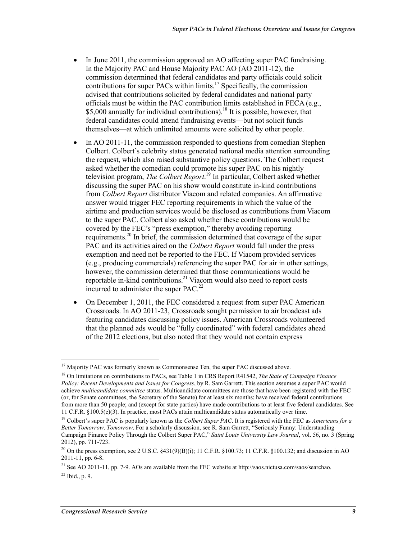- In June 2011, the commission approved an AO affecting super PAC fundraising. In the Majority PAC and House Majority PAC AO (AO 2011-12), the commission determined that federal candidates and party officials could solicit contributions for super PACs within limits.<sup>17</sup> Specifically, the commission advised that contributions solicited by federal candidates and national party officials must be within the PAC contribution limits established in FECA (e.g., \$5,000 annually for individual contributions).<sup>18</sup> It is possible, however, that federal candidates could attend fundraising events—but not solicit funds themselves—at which unlimited amounts were solicited by other people.
- In AO 2011-11, the commission responded to questions from comedian Stephen Colbert. Colbert's celebrity status generated national media attention surrounding the request, which also raised substantive policy questions. The Colbert request asked whether the comedian could promote his super PAC on his nightly television program, *The Colbert Report*. 19 In particular, Colbert asked whether discussing the super PAC on his show would constitute in-kind contributions from *Colbert Report* distributor Viacom and related companies. An affirmative answer would trigger FEC reporting requirements in which the value of the airtime and production services would be disclosed as contributions from Viacom to the super PAC. Colbert also asked whether these contributions would be covered by the FEC's "press exemption," thereby avoiding reporting requirements.20 In brief, the commission determined that coverage of the super PAC and its activities aired on the *Colbert Report* would fall under the press exemption and need not be reported to the FEC. If Viacom provided services (e.g., producing commercials) referencing the super PAC for air in other settings, however, the commission determined that those communications would be reportable in-kind contributions.<sup>21</sup> Viacom would also need to report costs incurred to administer the super PAC.<sup>22</sup>
- On December 1, 2011, the FEC considered a request from super PAC American Crossroads. In AO 2011-23, Crossroads sought permission to air broadcast ads featuring candidates discussing policy issues. American Crossroads volunteered that the planned ads would be "fully coordinated" with federal candidates ahead of the 2012 elections, but also noted that they would not contain express

<sup>1</sup>  $17$  Majority PAC was formerly known as Commonsense Ten, the super PAC discussed above.

<sup>18</sup> On limitations on contributions to PACs, see Table 1 in CRS Report R41542, *The State of Campaign Finance Policy: Recent Developments and Issues for Congress*, by R. Sam Garrett. This section assumes a super PAC would achieve *multicandidate committee* status. Multicandidate committees are those that have been registered with the FEC (or, for Senate committees, the Secretary of the Senate) for at least six months; have received federal contributions from more than 50 people; and (except for state parties) have made contributions to at least five federal candidates. See 11 C.F.R. §100.5(e)(3). In practice, most PACs attain multicandidate status automatically over time.

<sup>19</sup> Colbert's super PAC is popularly known as the *Colbert Super PAC*. It is registered with the FEC as *Americans for a Better Tomorrow, Tomorrow*. For a scholarly discussion, see R. Sam Garrett, "Seriously Funny: Understanding Campaign Finance Policy Through the Colbert Super PAC," *Saint Louis University Law Journal*, vol. 56, no. 3 (Spring 2012), pp. 711-723.

<sup>&</sup>lt;sup>20</sup> On the press exemption, see 2 U.S.C. §431(9)(B)(i); 11 C.F.R. §100.73; 11 C.F.R. §100.132; and discussion in AO 2011-11, pp. 6-8.

<sup>&</sup>lt;sup>21</sup> See AO 2011-11, pp. 7-9. AOs are available from the FEC website at http://saos.nictusa.com/saos/searchao.  $^{22}$  Ibid., p. 9.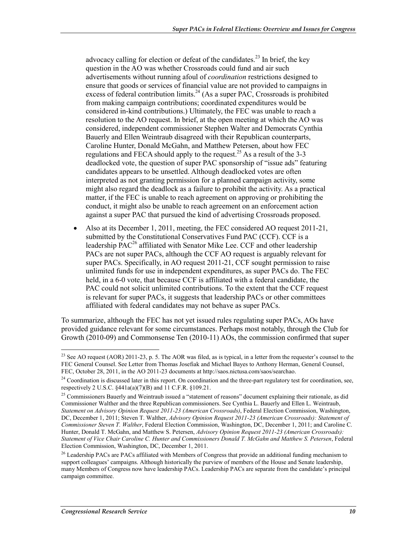advocacy calling for election or defeat of the candidates.<sup>23</sup> In brief, the key question in the AO was whether Crossroads could fund and air such advertisements without running afoul of *coordination* restrictions designed to ensure that goods or services of financial value are not provided to campaigns in excess of federal contribution limits.<sup>24</sup> (As a super PAC, Crossroads is prohibited from making campaign contributions; coordinated expenditures would be considered in-kind contributions.) Ultimately, the FEC was unable to reach a resolution to the AO request. In brief, at the open meeting at which the AO was considered, independent commissioner Stephen Walter and Democrats Cynthia Bauerly and Ellen Weintraub disagreed with their Republican counterparts, Caroline Hunter, Donald McGahn, and Matthew Petersen, about how FEC regulations and FECA should apply to the request.<sup>25</sup> As a result of the 3-3 deadlocked vote, the question of super PAC sponsorship of "issue ads" featuring candidates appears to be unsettled. Although deadlocked votes are often interpreted as not granting permission for a planned campaign activity, some might also regard the deadlock as a failure to prohibit the activity. As a practical matter, if the FEC is unable to reach agreement on approving or prohibiting the conduct, it might also be unable to reach agreement on an enforcement action against a super PAC that pursued the kind of advertising Crossroads proposed.

• Also at its December 1, 2011, meeting, the FEC considered AO request 2011-21, submitted by the Constitutional Conservatives Fund PAC (CCF). CCF is a leadership  $PAC^{26}$  affiliated with Senator Mike Lee. CCF and other leadership PACs are not super PACs, although the CCF AO request is arguably relevant for super PACs. Specifically, in AO request 2011-21, CCF sought permission to raise unlimited funds for use in independent expenditures, as super PACs do. The FEC held, in a 6-0 vote, that because CCF is affiliated with a federal candidate, the PAC could not solicit unlimited contributions. To the extent that the CCF request is relevant for super PACs, it suggests that leadership PACs or other committees affiliated with federal candidates may not behave as super PACs.

To summarize, although the FEC has not yet issued rules regulating super PACs, AOs have provided guidance relevant for some circumstances. Perhaps most notably, through the Club for Growth (2010-09) and Commonsense Ten (2010-11) AOs, the commission confirmed that super

<sup>&</sup>lt;sup>23</sup> See AO request (AOR) 2011-23, p. 5. The AOR was filed, as is typical, in a letter from the requester's counsel to the FEC General Counsel. See Letter from Thomas Josefiak and Michael Bayes to Anthony Herman, General Counsel, FEC, October 28, 2011, in the AO 2011-23 documents at http://saos.nictusa.com/saos/searchao.

 $24$  Coordination is discussed later in this report. On coordination and the three-part regulatory test for coordination, see, respectively 2 U.S.C.  $\frac{$441a(a)(7)(B) \text{ and } 11 \text{ C.F.R. } $109.21$ .

<sup>&</sup>lt;sup>25</sup> Commissioners Bauerly and Weintraub issued a "statement of reasons" document explaining their rationale, as did Commissioner Walther and the three Republican commissioners. See Cynthia L. Bauerly and Ellen L. Weintraub, *Statement on Advisory Opinion Request 2011-23 (American Crossroads)*, Federal Election Commission, Washington, DC, December 1, 2011; Steven T. Walther, *Advisory Opinion Request 2011-23 (American Crossroads): Statement of Commissioner Steven T. Walther*, Federal Election Commission, Washington, DC, December 1, 2011; and Caroline C. Hunter, Donald T. McGahn, and Matthew S. Petersen, *Advisory Opinion Request 2011-23 (American Crossroads): Statement of Vice Chair Caroline C. Hunter and Commissioners Donald T. McGahn and Matthew S. Petersen*, Federal Election Commission, Washington, DC, December 1, 2011.

<sup>&</sup>lt;sup>26</sup> Leadership PACs are PACs affiliated with Members of Congress that provide an additional funding mechanism to support colleagues' campaigns. Although historically the purview of members of the House and Senate leadership, many Members of Congress now have leadership PACs. Leadership PACs are separate from the candidate's principal campaign committee.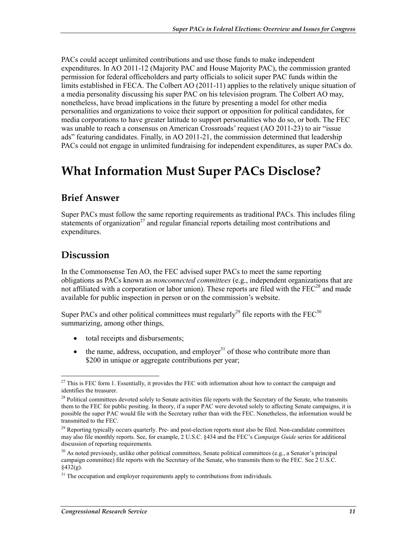PACs could accept unlimited contributions and use those funds to make independent expenditures. In AO 2011-12 (Majority PAC and House Majority PAC), the commission granted permission for federal officeholders and party officials to solicit super PAC funds within the limits established in FECA. The Colbert AO (2011-11) applies to the relatively unique situation of a media personality discussing his super PAC on his television program. The Colbert AO may, nonetheless, have broad implications in the future by presenting a model for other media personalities and organizations to voice their support or opposition for political candidates, for media corporations to have greater latitude to support personalities who do so, or both. The FEC was unable to reach a consensus on American Crossroads' request (AO 2011-23) to air "issue ads" featuring candidates. Finally, in AO 2011-21, the commission determined that leadership PACs could not engage in unlimited fundraising for independent expenditures, as super PACs do.

## **What Information Must Super PACs Disclose?**

### **Brief Answer**

Super PACs must follow the same reporting requirements as traditional PACs. This includes filing statements of organization<sup>27</sup> and regular financial reports detailing most contributions and expenditures.

#### **Discussion**

In the Commonsense Ten AO, the FEC advised super PACs to meet the same reporting obligations as PACs known as *nonconnected committees* (e.g., independent organizations that are not affiliated with a corporation or labor union). These reports are filed with the  $FEC^{28}$  and made available for public inspection in person or on the commission's website.

Super PACs and other political committees must regularly<sup>29</sup> file reports with the  $FEC^{30}$ summarizing, among other things,

- total receipts and disbursements;
- the name, address, occupation, and employer<sup>31</sup> of those who contribute more than \$200 in unique or aggregate contributions per year;

<sup>&</sup>lt;u>.</u>  $^{27}$  This is FEC form 1. Essentially, it provides the FEC with information about how to contact the campaign and identifies the treasurer.

<sup>&</sup>lt;sup>28</sup> Political committees devoted solely to Senate activities file reports with the Secretary of the Senate, who transmits them to the FEC for public positing. In theory, if a super PAC were devoted solely to affecting Senate campaigns, it is possible the super PAC would file with the Secretary rather than with the FEC. Nonetheless, the information would be transmitted to the FEC.

 $^{29}$  Reporting typically occurs quarterly. Pre- and post-election reports must also be filed. Non-candidate committees may also file monthly reports. See, for example, 2 U.S.C. §434 and the FEC's *Campaign Guide* series for additional discussion of reporting requirements.

 $30$  As noted previously, unlike other political committees, Senate political committees (e.g., a Senator's principal campaign committee) file reports with the Secretary of the Senate, who transmits them to the FEC. See 2 U.S.C.  $§432(g).$ 

 $31$  The occupation and employer requirements apply to contributions from individuals.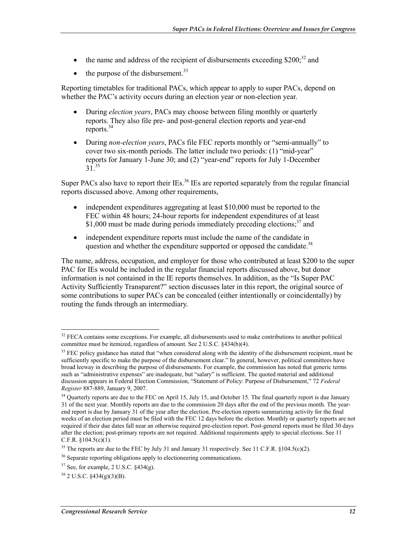- the name and address of the recipient of disbursements exceeding  $$200$ ;<sup>32</sup> and
- $\bullet$  the purpose of the disbursement.<sup>33</sup>

Reporting timetables for traditional PACs, which appear to apply to super PACs, depend on whether the PAC's activity occurs during an election year or non-election year.

- During *election years*, PACs may choose between filing monthly or quarterly reports. They also file pre- and post-general election reports and year-end reports.34
- During *non-election years*, PACs file FEC reports monthly or "semi-annually" to cover two six-month periods. The latter include two periods: (1) "mid-year" reports for January 1-June 30; and (2) "year-end" reports for July 1-December 31<sup>35</sup>

Super PACs also have to report their IEs.<sup>36</sup> IEs are reported separately from the regular financial reports discussed above. Among other requirements,

- independent expenditures aggregating at least \$10,000 must be reported to the FEC within 48 hours; 24-hour reports for independent expenditures of at least \$1,000 must be made during periods immediately preceding elections; $37$  and
- independent expenditure reports must include the name of the candidate in question and whether the expenditure supported or opposed the candidate.<sup>38</sup>

The name, address, occupation, and employer for those who contributed at least \$200 to the super PAC for IEs would be included in the regular financial reports discussed above, but donor information is not contained in the IE reports themselves. In addition, as the "Is Super PAC Activity Sufficiently Transparent?" section discusses later in this report, the original source of some contributions to super PACs can be concealed (either intentionally or coincidentally) by routing the funds through an intermediary.

<u>.</u>

 $32$  FECA contains some exceptions. For example, all disbursements used to make contributions to another political committee must be itemized, regardless of amount. See 2 U.S.C. §434(b)(4).

<sup>&</sup>lt;sup>33</sup> FEC policy guidance has stated that "when considered along with the identity of the disbursement recipient, must be sufficiently specific to make the purpose of the disbursement clear." In general, however, political committees have broad leeway in describing the purpose of disbursements. For example, the commission has noted that generic terms such as "administrative expenses" are inadequate, but "salary" is sufficient. The quoted material and additional discussion appears in Federal Election Commission, "Statement of Policy: Purpose of Disbursement," 72 *Federal Register* 887-889, January 9, 2007.

<sup>&</sup>lt;sup>34</sup> Quarterly reports are due to the FEC on April 15, July 15, and October 15. The final quarterly report is due January 31 of the next year. Monthly reports are due to the commission 20 days after the end of the previous month. The yearend report is due by January 31 of the year after the election. Pre-election reports summarizing activity for the final weeks of an election period must be filed with the FEC 12 days before the election. Monthly or quarterly reports are not required if their due dates fall near an otherwise required pre-election report. Post-general reports must be filed 30 days after the election; post-primary reports are not required. Additional requirements apply to special elections. See 11 C.F.R. §104.5(c)(1).

<sup>&</sup>lt;sup>35</sup> The reports are due to the FEC by July 31 and January 31 respectively. See 11 C.F.R. §104.5(c)(2).

<sup>&</sup>lt;sup>36</sup> Separate reporting obligations apply to electioneering communications.

 $37$  See, for example, 2 U.S.C.  $8434(g)$ .

 $38$  2 U.S.C.  $\frac{$434(g)(3)(B)}{B}$ .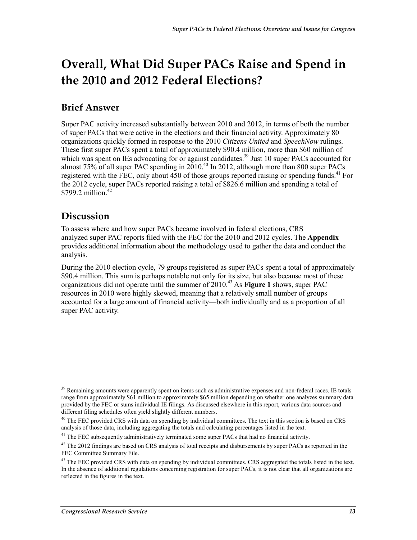# **Overall, What Did Super PACs Raise and Spend in the 2010 and 2012 Federal Elections?**

### **Brief Answer**

Super PAC activity increased substantially between 2010 and 2012, in terms of both the number of super PACs that were active in the elections and their financial activity. Approximately 80 organizations quickly formed in response to the 2010 *Citizens United* and *SpeechNow* rulings. These first super PACs spent a total of approximately \$90.4 million, more than \$60 million of which was spent on IEs advocating for or against candidates.<sup>39</sup> Just 10 super PACs accounted for almost  $75\%$  of all super PAC spending in 2010.<sup>40</sup> In 2012, although more than 800 super PACs registered with the FEC, only about 450 of those groups reported raising or spending funds.<sup>41</sup> For the 2012 cycle, super PACs reported raising a total of \$826.6 million and spending a total of  $$799.2$  million<sup>42</sup>

### **Discussion**

1

To assess where and how super PACs became involved in federal elections, CRS analyzed super PAC reports filed with the FEC for the 2010 and 2012 cycles. The **Appendix** provides additional information about the methodology used to gather the data and conduct the analysis.

During the 2010 election cycle, 79 groups registered as super PACs spent a total of approximately \$90.4 million. This sum is perhaps notable not only for its size, but also because most of these organizations did not operate until the summer of 2010.<sup>43</sup> As **Figure 1** shows, super PAC resources in 2010 were highly skewed, meaning that a relatively small number of groups accounted for a large amount of financial activity—both individually and as a proportion of all super PAC activity.

 $39$  Remaining amounts were apparently spent on items such as administrative expenses and non-federal races. IE totals range from approximately \$61 million to approximately \$65 million depending on whether one analyzes summary data provided by the FEC or sums individual IE filings. As discussed elsewhere in this report, various data sources and different filing schedules often yield slightly different numbers.

<sup>&</sup>lt;sup>40</sup> The FEC provided CRS with data on spending by individual committees. The text in this section is based on CRS analysis of those data, including aggregating the totals and calculating percentages listed in the text.

<sup>&</sup>lt;sup>41</sup> The FEC subsequently administratively terminated some super PACs that had no financial activity.

 $42$  The 2012 findings are based on CRS analysis of total receipts and disbursements by super PACs as reported in the FEC Committee Summary File.

<sup>&</sup>lt;sup>43</sup> The FEC provided CRS with data on spending by individual committees. CRS aggregated the totals listed in the text. In the absence of additional regulations concerning registration for super PACs, it is not clear that all organizations are reflected in the figures in the text.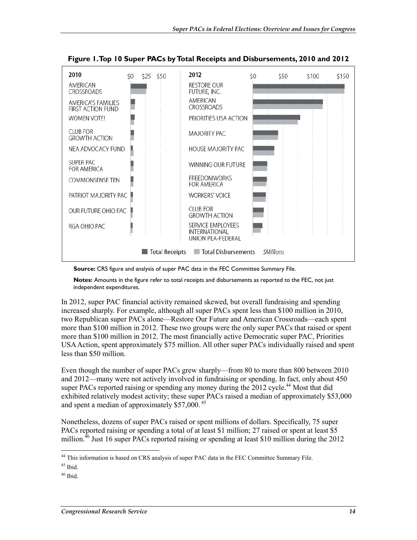

**Figure 1. Top 10 Super PACs by Total Receipts and Disbursements, 2010 and 2012** 

**Source:** CRS figure and analysis of super PAC data in the FEC Committee Summary File.

**Notes:** Amounts in the figure refer to total receipts and disbursements as reported to the FEC, not just independent expenditures.

In 2012, super PAC financial activity remained skewed, but overall fundraising and spending increased sharply. For example, although all super PACs spent less than \$100 million in 2010, two Republican super PACs alone—Restore Our Future and American Crossroads—each spent more than \$100 million in 2012. These two groups were the only super PACs that raised or spent more than \$100 million in 2012. The most financially active Democratic super PAC, Priorities USA Action, spent approximately \$75 million. All other super PACs individually raised and spent less than \$50 million.

Even though the number of super PACs grew sharply—from 80 to more than 800 between 2010 and 2012—many were not actively involved in fundraising or spending. In fact, only about 450 super PACs reported raising or spending any money during the 2012 cycle.<sup>44</sup> Most that did exhibited relatively modest activity; these super PACs raised a median of approximately \$53,000 and spent a median of approximately \$57,000.<sup>45</sup>

Nonetheless, dozens of super PACs raised or spent millions of dollars. Specifically, 75 super PACs reported raising or spending a total of at least \$1 million; 27 raised or spent at least \$5 million.<sup>46</sup> Just 16 super PACs reported raising or spending at least \$10 million during the 2012

 $46$  Ibid.

<sup>1</sup> <sup>44</sup> This information is based on CRS analysis of super PAC data in the FEC Committee Summary File.

 $45$  Ibid.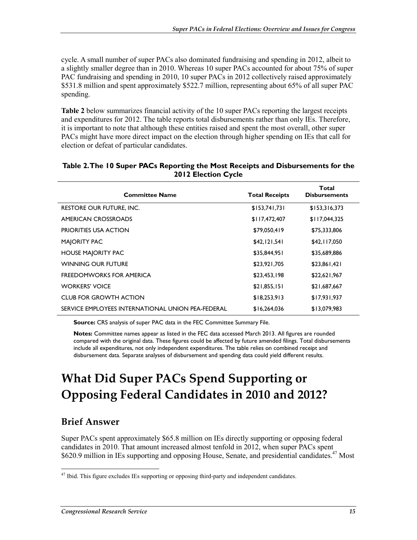cycle. A small number of super PACs also dominated fundraising and spending in 2012, albeit to a slightly smaller degree than in 2010. Whereas 10 super PACs accounted for about 75% of super PAC fundraising and spending in 2010, 10 super PACs in 2012 collectively raised approximately \$531.8 million and spent approximately \$522.7 million, representing about 65% of all super PAC spending.

**Table 2** below summarizes financial activity of the 10 super PACs reporting the largest receipts and expenditures for 2012. The table reports total disbursements rather than only IEs. Therefore, it is important to note that although these entities raised and spent the most overall, other super PACs might have more direct impact on the election through higher spending on IEs that call for election or defeat of particular candidates.

| <b>Committee Name</b>                             | <b>Total Receipts</b> | Total<br><b>Disbursements</b> |
|---------------------------------------------------|-----------------------|-------------------------------|
| <b>RESTORE OUR FUTURE, INC.</b>                   | \$153,741,731         | \$153,316,373                 |
| AMERICAN CROSSROADS                               | \$117,472,407         | \$117,044,325                 |
| <b>PRIORITIES USA ACTION</b>                      | \$79,050,419          | \$75,333,806                  |
| MAJORITY PAC                                      | \$42,121,541          | \$42,117,050                  |
| <b>HOUSE MAJORITY PAC</b>                         | \$35,844,951          | \$35,689,886                  |
| <b>WINNING OUR FUTURE</b>                         | \$23,921,705          | \$23,861,421                  |
| FREEDOMWORKS FOR AMERICA                          | \$23,453,198          | \$22,621,967                  |
| <b>WORKERS' VOICE</b>                             | \$21,855,151          | \$21,687,667                  |
| <b>CLUB FOR GROWTH ACTION</b>                     | \$18,253,913          | \$17,931,937                  |
| SERVICE EMPLOYEES INTERNATIONAL UNION PEA-FEDERAL | \$16,264,036          | \$13,079,983                  |

#### **Table 2. The 10 Super PACs Reporting the Most Receipts and Disbursements for the 2012 Election Cycle**

**Source:** CRS analysis of super PAC data in the FEC Committee Summary File.

**Notes:** Committee names appear as listed in the FEC data accessed March 2013. All figures are rounded compared with the original data. These figures could be affected by future amended filings. Total disbursements include all expenditures, not only independent expenditures. The table relies on combined receipt and disbursement data. Separate analyses of disbursement and spending data could yield different results.

# **What Did Super PACs Spend Supporting or Opposing Federal Candidates in 2010 and 2012?**

#### **Brief Answer**

<u>.</u>

Super PACs spent approximately \$65.8 million on IEs directly supporting or opposing federal candidates in 2010. That amount increased almost tenfold in 2012, when super PACs spent \$620.9 million in IEs supporting and opposing House, Senate, and presidential candidates.<sup>47</sup> Most

 $47$  Ibid. This figure excludes IEs supporting or opposing third-party and independent candidates.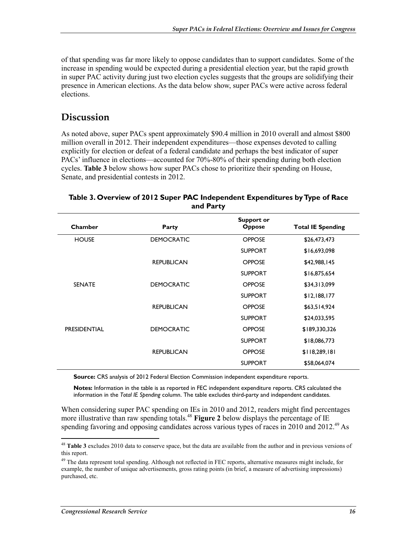of that spending was far more likely to oppose candidates than to support candidates. Some of the increase in spending would be expected during a presidential election year, but the rapid growth in super PAC activity during just two election cycles suggests that the groups are solidifying their presence in American elections. As the data below show, super PACs were active across federal elections.

### **Discussion**

As noted above, super PACs spent approximately \$90.4 million in 2010 overall and almost \$800 million overall in 2012. Their independent expenditures—those expenses devoted to calling explicitly for election or defeat of a federal candidate and perhaps the best indicator of super PACs' influence in elections—accounted for 70%-80% of their spending during both election cycles. **Table 3** below shows how super PACs chose to prioritize their spending on House, Senate, and presidential contests in 2012.

#### **Table 3. Overview of 2012 Super PAC Independent Expenditures by Type of Race and Party**

| Chamber             | Party             | <b>Support or</b><br><b>Oppose</b> | <b>Total IE Spending</b> |
|---------------------|-------------------|------------------------------------|--------------------------|
| <b>HOUSE</b>        | <b>DEMOCRATIC</b> | <b>OPPOSE</b>                      | \$26,473,473             |
|                     |                   | <b>SUPPORT</b>                     | \$16,693,098             |
|                     | <b>REPUBLICAN</b> | <b>OPPOSE</b>                      | \$42,988,145             |
|                     |                   | <b>SUPPORT</b>                     | \$16,875,654             |
| <b>SENATE</b>       | <b>DEMOCRATIC</b> | <b>OPPOSE</b>                      | \$34,313,099             |
|                     |                   | <b>SUPPORT</b>                     | \$12,188,177             |
|                     | <b>REPUBLICAN</b> | <b>OPPOSE</b>                      | \$63,514,924             |
|                     |                   | <b>SUPPORT</b>                     | \$24,033,595             |
| <b>PRESIDENTIAL</b> | <b>DEMOCRATIC</b> | <b>OPPOSE</b>                      | \$189,330,326            |
|                     |                   | <b>SUPPORT</b>                     | \$18,086,773             |
|                     | <b>REPUBLICAN</b> | <b>OPPOSE</b>                      | \$118,289,181            |
|                     |                   | <b>SUPPORT</b>                     | \$58,064,074             |

**Source:** CRS analysis of 2012 Federal Election Commission independent expenditure reports.

**Notes:** Information in the table is as reported in FEC independent expenditure reports. CRS calculated the information in the *Total IE Spending* column. The table excludes third-party and independent candidates.

When considering super PAC spending on IEs in 2010 and 2012, readers might find percentages more illustrative than raw spending totals.48 **Figure 2** below displays the percentage of IE spending favoring and opposing candidates across various types of races in 2010 and 2012.<sup>49</sup> As

<sup>48</sup> **Table 3** excludes 2010 data to conserve space, but the data are available from the author and in previous versions of this report.

<sup>&</sup>lt;sup>49</sup> The data represent total spending. Although not reflected in FEC reports, alternative measures might include, for example, the number of unique advertisements, gross rating points (in brief, a measure of advertising impressions) purchased, etc.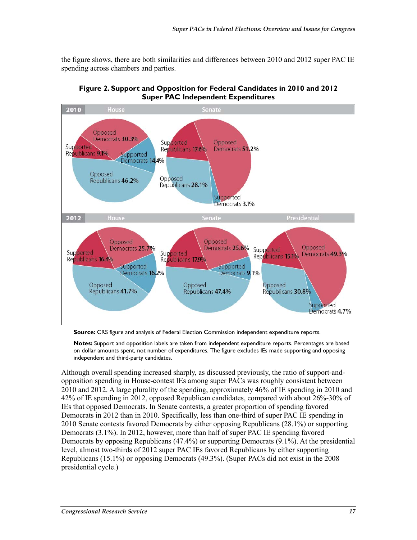the figure shows, there are both similarities and differences between 2010 and 2012 super PAC IE spending across chambers and parties.



**Figure 2. Support and Opposition for Federal Candidates in 2010 and 2012 Super PAC Independent Expenditures** 

**Source:** CRS figure and analysis of Federal Election Commission independent expenditure reports.

**Notes:** Support and opposition labels are taken from independent expenditure reports. Percentages are based on dollar amounts spent, not number of expenditures. The figure excludes IEs made supporting and opposing independent and third-party candidates.

Although overall spending increased sharply, as discussed previously, the ratio of support-andopposition spending in House-contest IEs among super PACs was roughly consistent between 2010 and 2012. A large plurality of the spending, approximately 46% of IE spending in 2010 and 42% of IE spending in 2012, opposed Republican candidates, compared with about 26%-30% of IEs that opposed Democrats. In Senate contests, a greater proportion of spending favored Democrats in 2012 than in 2010. Specifically, less than one-third of super PAC IE spending in 2010 Senate contests favored Democrats by either opposing Republicans (28.1%) or supporting Democrats (3.1%). In 2012, however, more than half of super PAC IE spending favored Democrats by opposing Republicans (47.4%) or supporting Democrats (9.1%). At the presidential level, almost two-thirds of 2012 super PAC IEs favored Republicans by either supporting Republicans (15.1%) or opposing Democrats (49.3%). (Super PACs did not exist in the 2008 presidential cycle.)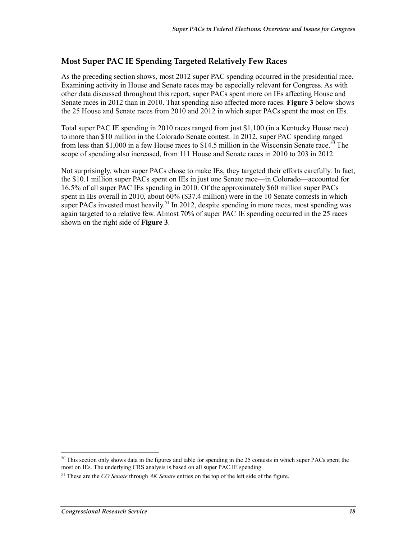#### **Most Super PAC IE Spending Targeted Relatively Few Races**

As the preceding section shows, most 2012 super PAC spending occurred in the presidential race. Examining activity in House and Senate races may be especially relevant for Congress. As with other data discussed throughout this report, super PACs spent more on IEs affecting House and Senate races in 2012 than in 2010. That spending also affected more races. **Figure 3** below shows the 25 House and Senate races from 2010 and 2012 in which super PACs spent the most on IEs.

Total super PAC IE spending in 2010 races ranged from just \$1,100 (in a Kentucky House race) to more than \$10 million in the Colorado Senate contest. In 2012, super PAC spending ranged from less than \$1,000 in a few House races to \$14.5 million in the Wisconsin Senate race.<sup>50</sup> The scope of spending also increased, from 111 House and Senate races in 2010 to 203 in 2012.

Not surprisingly, when super PACs chose to make IEs, they targeted their efforts carefully. In fact, the \$10.1 million super PACs spent on IEs in just one Senate race—in Colorado—accounted for 16.5% of all super PAC IEs spending in 2010. Of the approximately \$60 million super PACs spent in IEs overall in 2010, about 60% (\$37.4 million) were in the 10 Senate contests in which super PACs invested most heavily.<sup>51</sup> In 2012, despite spending in more races, most spending was again targeted to a relative few. Almost 70% of super PAC IE spending occurred in the 25 races shown on the right side of **Figure 3**.

<sup>&</sup>lt;sup>50</sup> This section only shows data in the figures and table for spending in the 25 contests in which super PACs spent the most on IEs. The underlying CRS analysis is based on all super PAC IE spending.

<sup>51</sup> These are the *CO Senate* through *AK Senate* entries on the top of the left side of the figure.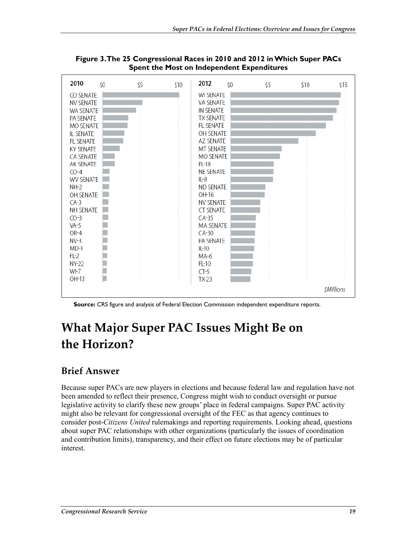

**Figure 3. The 25 Congressional Races in 2010 and 2012 in Which Super PACs Spent the Most on Independent Expenditures** 

**Source:** CRS figure and analysis of Federal Election Commission independent expenditure reports.

# **What Major Super PAC Issues Might Be on the Horizon?**

### **Brief Answer**

Because super PACs are new players in elections and because federal law and regulation have not been amended to reflect their presence, Congress might wish to conduct oversight or pursue legislative activity to clarify these new groups' place in federal campaigns. Super PAC activity might also be relevant for congressional oversight of the FEC as that agency continues to consider post-*Citizens United* rulemakings and reporting requirements. Looking ahead, questions about super PAC relationships with other organizations (particularly the issues of coordination and contribution limits), transparency, and their effect on future elections may be of particular interest.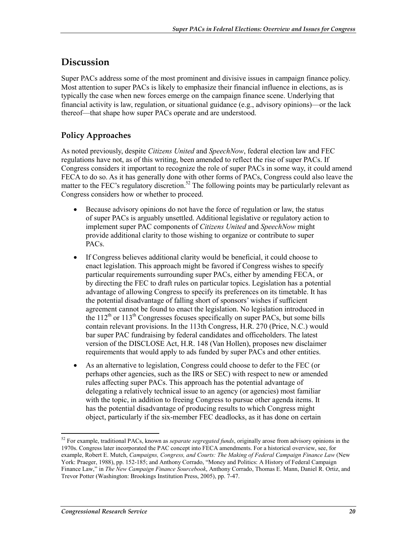### **Discussion**

Super PACs address some of the most prominent and divisive issues in campaign finance policy. Most attention to super PACs is likely to emphasize their financial influence in elections, as is typically the case when new forces emerge on the campaign finance scene. Underlying that financial activity is law, regulation, or situational guidance (e.g., advisory opinions)—or the lack thereof—that shape how super PACs operate and are understood.

#### **Policy Approaches**

As noted previously, despite *Citizens United* and *SpeechNow*, federal election law and FEC regulations have not, as of this writing, been amended to reflect the rise of super PACs. If Congress considers it important to recognize the role of super PACs in some way, it could amend FECA to do so. As it has generally done with other forms of PACs, Congress could also leave the matter to the FEC's regulatory discretion.<sup>52</sup> The following points may be particularly relevant as Congress considers how or whether to proceed.

- Because advisory opinions do not have the force of regulation or law, the status of super PACs is arguably unsettled. Additional legislative or regulatory action to implement super PAC components of *Citizens United* and *SpeechNow* might provide additional clarity to those wishing to organize or contribute to super PACs.
- If Congress believes additional clarity would be beneficial, it could choose to enact legislation. This approach might be favored if Congress wishes to specify particular requirements surrounding super PACs, either by amending FECA, or by directing the FEC to draft rules on particular topics. Legislation has a potential advantage of allowing Congress to specify its preferences on its timetable. It has the potential disadvantage of falling short of sponsors' wishes if sufficient agreement cannot be found to enact the legislation. No legislation introduced in the  $112<sup>th</sup>$  or  $113<sup>th</sup>$  Congresses focuses specifically on super PACs, but some bills contain relevant provisions. In the 113th Congress, H.R. 270 (Price, N.C.) would bar super PAC fundraising by federal candidates and officeholders. The latest version of the DISCLOSE Act, H.R. 148 (Van Hollen), proposes new disclaimer requirements that would apply to ads funded by super PACs and other entities.
- As an alternative to legislation, Congress could choose to defer to the FEC (or perhaps other agencies, such as the IRS or SEC) with respect to new or amended rules affecting super PACs. This approach has the potential advantage of delegating a relatively technical issue to an agency (or agencies) most familiar with the topic, in addition to freeing Congress to pursue other agenda items. It has the potential disadvantage of producing results to which Congress might object, particularly if the six-member FEC deadlocks, as it has done on certain

<sup>52</sup> For example, traditional PACs, known as *separate segregated funds*, originally arose from advisory opinions in the 1970s. Congress later incorporated the PAC concept into FECA amendments. For a historical overview, see, for example, Robert E. Mutch, *Campaigns, Congress, and Courts: The Making of Federal Campaign Finance Law* (New York: Praeger, 1988), pp. 152-185; and Anthony Corrado, "Money and Politics: A History of Federal Campaign Finance Law," in *The New Campaign Finance Sourcebook*, Anthony Corrado, Thomas E. Mann, Daniel R. Ortiz, and Trevor Potter (Washington: Brookings Institution Press, 2005), pp. 7-47.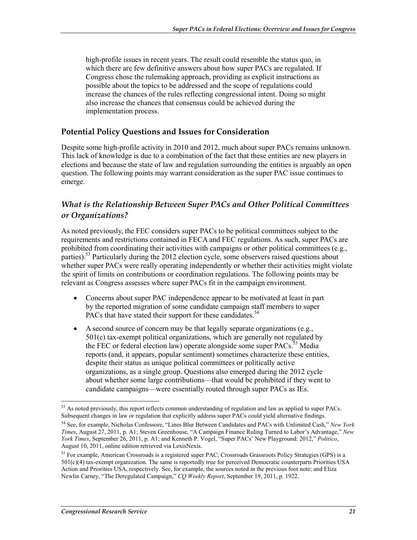high-profile issues in recent years. The result could resemble the status quo, in which there are few definitive answers about how super PACs are regulated. If Congress chose the rulemaking approach, providing as explicit instructions as possible about the topics to be addressed and the scope of regulations could increase the chances of the rules reflecting congressional intent. Doing so might also increase the chances that consensus could be achieved during the implementation process.

#### **Potential Policy Questions and Issues for Consideration**

Despite some high-profile activity in 2010 and 2012, much about super PACs remains unknown. This lack of knowledge is due to a combination of the fact that these entities are new players in elections and because the state of law and regulation surrounding the entities is arguably an open question. The following points may warrant consideration as the super PAC issue continues to emerge.

#### *What is the Relationship Between Super PACs and Other Political Committees or Organizations?*

As noted previously, the FEC considers super PACs to be political committees subject to the requirements and restrictions contained in FECA and FEC regulations. As such, super PACs are prohibited from coordinating their activities with campaigns or other political committees (e.g., parties).<sup>53</sup> Particularly during the 2012 election cycle, some observers raised questions about whether super PACs were really operating independently or whether their activities might violate the spirit of limits on contributions or coordination regulations. The following points may be relevant as Congress assesses where super PACs fit in the campaign environment.

- Concerns about super PAC independence appear to be motivated at least in part by the reported migration of some candidate campaign staff members to super PACs that have stated their support for these candidates.<sup>54</sup>
- A second source of concern may be that legally separate organizations (e.g., 501(c) tax-exempt political organizations, which are generally not regulated by the FEC or federal election law) operate alongside some super PACs.<sup>55</sup> Media reports (and, it appears, popular sentiment) sometimes characterize these entities, despite their status as unique political committees or politically active organizations, as a single group. Questions also emerged during the 2012 cycle about whether some large contributions—that would be prohibited if they went to candidate campaigns—were essentially routed through super PACs as IEs.

<sup>53</sup> As noted previously, this report reflects common understanding of regulation and law as applied to super PACs. Subsequent changes in law or regulation that explicitly address super PACs could yield alternative findings.

<sup>54</sup> See, for example, Nicholas Confessore, "Lines Blur Between Candidates and PACs with Unlimited Cash," *New York Times*, August 27, 2011, p. A1; Steven Greenhouse, "A Campaign Finance Ruling Turned to Labor's Advantage," *New York Times*, September 26, 2011, p. A1; and Kenneth P. Vogel, "Super PACs' New Playground: 2012," *Politico*, August 10, 2011, online edition retrieved via LexisNexis.

<sup>&</sup>lt;sup>55</sup> For example, American Crossroads is a registered super PAC; Crossroads Grassroots Policy Strategies (GPS) is a 501(c)(4) tax-exempt organization. The same is reportedly true for perceived Democratic counterparts Priorities USA Action and Priorities USA, respectively. See, for example, the sources noted in the previous foot note; and Eliza Newlin Carney, "The Deregulated Campaign," *CQ Weekly Report*, September 19, 2011, p. 1922.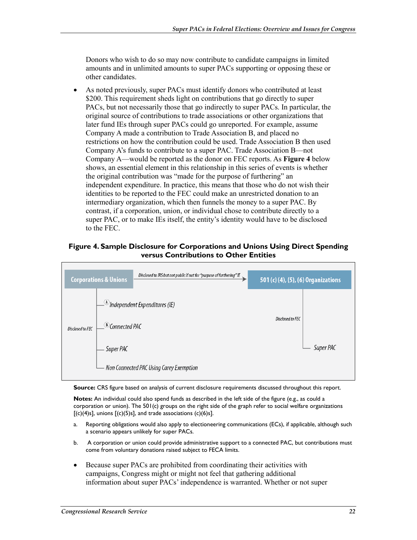Donors who wish to do so may now contribute to candidate campaigns in limited amounts and in unlimited amounts to super PACs supporting or opposing these or other candidates.

• As noted previously, super PACs must identify donors who contributed at least \$200. This requirement sheds light on contributions that go directly to super PACs, but not necessarily those that go indirectly to super PACs. In particular, the original source of contributions to trade associations or other organizations that later fund IEs through super PACs could go unreported. For example, assume Company A made a contribution to Trade Association B, and placed no restrictions on how the contribution could be used. Trade Association B then used Company A's funds to contribute to a super PAC. Trade Association B—not Company A—would be reported as the donor on FEC reports. As **Figure 4** below shows, an essential element in this relationship in this series of events is whether the original contribution was "made for the purpose of furthering" an independent expenditure. In practice, this means that those who do not wish their identities to be reported to the FEC could make an unrestricted donation to an intermediary organization, which then funnels the money to a super PAC. By contrast, if a corporation, union, or individual chose to contribute directly to a super PAC, or to make IEs itself, the entity's identity would have to be disclosed to the FEC.

#### **Figure 4. Sample Disclosure for Corporations and Unions Using Direct Spending versus Contributions to Other Entities**



**Source:** CRS figure based on analysis of current disclosure requirements discussed throughout this report.

**Notes:** An individual could also spend funds as described in the left side of the figure (e.g., as could a corporation or union). The 501(c) groups on the right side of the graph refer to social welfare organizations  $[(c)(4)s]$ , unions  $[(c)(5)s]$ , and trade associations  $(c)(6)s]$ .

- a. Reporting obligations would also apply to electioneering communications (ECs), if applicable, although such a scenario appears unlikely for super PACs.
- b. A corporation or union could provide administrative support to a connected PAC, but contributions must come from voluntary donations raised subject to FECA limits.
- Because super PACs are prohibited from coordinating their activities with campaigns, Congress might or might not feel that gathering additional information about super PACs' independence is warranted. Whether or not super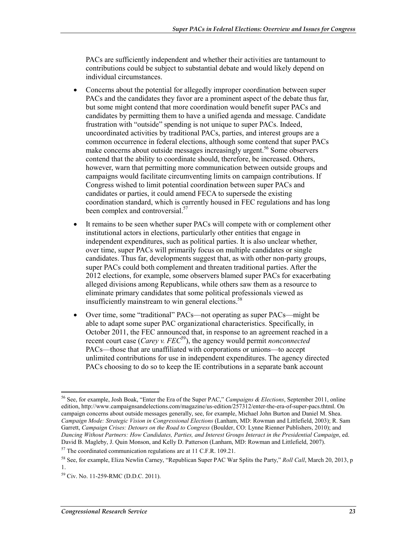PACs are sufficiently independent and whether their activities are tantamount to contributions could be subject to substantial debate and would likely depend on individual circumstances.

- Concerns about the potential for allegedly improper coordination between super PACs and the candidates they favor are a prominent aspect of the debate thus far, but some might contend that more coordination would benefit super PACs and candidates by permitting them to have a unified agenda and message. Candidate frustration with "outside" spending is not unique to super PACs. Indeed, uncoordinated activities by traditional PACs, parties, and interest groups are a common occurrence in federal elections, although some contend that super PACs make concerns about outside messages increasingly urgent.<sup>56</sup> Some observers contend that the ability to coordinate should, therefore, be increased. Others, however, warn that permitting more communication between outside groups and campaigns would facilitate circumventing limits on campaign contributions. If Congress wished to limit potential coordination between super PACs and candidates or parties, it could amend FECA to supersede the existing coordination standard, which is currently housed in FEC regulations and has long been complex and controversial.<sup>57</sup>
- It remains to be seen whether super PACs will compete with or complement other institutional actors in elections, particularly other entities that engage in independent expenditures, such as political parties. It is also unclear whether, over time, super PACs will primarily focus on multiple candidates or single candidates. Thus far, developments suggest that, as with other non-party groups, super PACs could both complement and threaten traditional parties. After the 2012 elections, for example, some observers blamed super PACs for exacerbating alleged divisions among Republicans, while others saw them as a resource to eliminate primary candidates that some political professionals viewed as insufficiently mainstream to win general elections.<sup>58</sup>
- Over time, some "traditional" PACs—not operating as super PACs—might be able to adapt some super PAC organizational characteristics. Specifically, in October 2011, the FEC announced that, in response to an agreement reached in a recent court case (*Carey v. FEC*59), the agency would permit *nonconnected* PACs—those that are unaffiliated with corporations or unions—to accept unlimited contributions for use in independent expenditures. The agency directed PACs choosing to do so to keep the IE contributions in a separate bank account

<u>.</u>

<sup>56</sup> See, for example, Josh Boak, "Enter the Era of the Super PAC," *Campaigns & Elections*, September 2011, online edition, http://www.campaignsandelections.com/magazine/us-edition/257312/enter-the-era-of-super-pacs.thtml. On campaign concerns about outside messages generally, see, for example, Michael John Burton and Daniel M. Shea. *Campaign Mode: Strategic Vision in Congressional Elections* (Lanham, MD: Rowman and Littlefield, 2003); R. Sam Garrett, *Campaign Crises: Detours on the Road to Congress* (Boulder, CO: Lynne Rienner Publishers, 2010); and *Dancing Without Partners: How Candidates, Parties, and Interest Groups Interact in the Presidential Campaign*, ed. David B. Magleby, J. Quin Monson, and Kelly D. Patterson (Lanham, MD: Rowman and Littlefield, 2007).

 $57$  The coordinated communication regulations are at 11 C.F.R. 109.21.

<sup>58</sup> See, for example, Eliza Newlin Carney, "Republican Super PAC War Splits the Party," *Roll Call*, March 20, 2013, p 1.

<sup>59</sup> Civ. No. 11-259-RMC (D.D.C. 2011).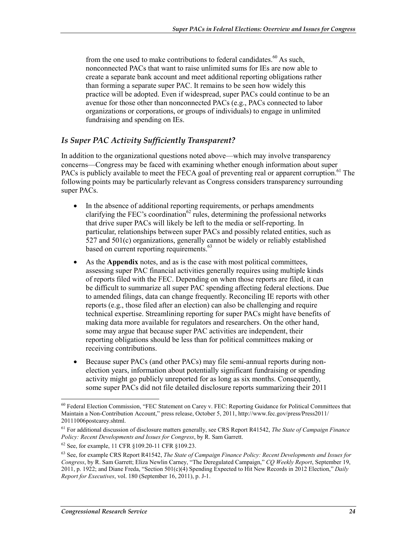from the one used to make contributions to federal candidates.<sup>60</sup> As such, nonconnected PACs that want to raise unlimited sums for IEs are now able to create a separate bank account and meet additional reporting obligations rather than forming a separate super PAC. It remains to be seen how widely this practice will be adopted. Even if widespread, super PACs could continue to be an avenue for those other than nonconnected PACs (e.g., PACs connected to labor organizations or corporations, or groups of individuals) to engage in unlimited fundraising and spending on IEs.

#### *Is Super PAC Activity Sufficiently Transparent?*

In addition to the organizational questions noted above—which may involve transparency concerns—Congress may be faced with examining whether enough information about super PACs is publicly available to meet the FECA goal of preventing real or apparent corruption.<sup>61</sup> The following points may be particularly relevant as Congress considers transparency surrounding super PACs.

- In the absence of additional reporting requirements, or perhaps amendments clarifying the FEC's coordination<sup>62</sup> rules, determining the professional networks that drive super PACs will likely be left to the media or self-reporting. In particular, relationships between super PACs and possibly related entities, such as 527 and 501(c) organizations, generally cannot be widely or reliably established based on current reporting requirements.<sup>63</sup>
- As the **Appendix** notes, and as is the case with most political committees, assessing super PAC financial activities generally requires using multiple kinds of reports filed with the FEC. Depending on when those reports are filed, it can be difficult to summarize all super PAC spending affecting federal elections. Due to amended filings, data can change frequently. Reconciling IE reports with other reports (e.g., those filed after an election) can also be challenging and require technical expertise. Streamlining reporting for super PACs might have benefits of making data more available for regulators and researchers. On the other hand, some may argue that because super PAC activities are independent, their reporting obligations should be less than for political committees making or receiving contributions.
- Because super PACs (and other PACs) may file semi-annual reports during nonelection years, information about potentially significant fundraising or spending activity might go publicly unreported for as long as six months. Consequently, some super PACs did not file detailed disclosure reports summarizing their 2011

<sup>&</sup>lt;sup>60</sup> Federal Election Commission, "FEC Statement on Carey v. FEC: Reporting Guidance for Political Committees that Maintain a Non-Contribution Account," press release, October 5, 2011, http://www.fec.gov/press/Press2011/ 20111006postcarey.shtml.

<sup>61</sup> For additional discussion of disclosure matters generally, see CRS Report R41542, *The State of Campaign Finance Policy: Recent Developments and Issues for Congress*, by R. Sam Garrett.

<sup>62</sup> See, for example, 11 CFR §109.20-11 CFR §109.23.

<sup>63</sup> See, for example CRS Report R41542, *The State of Campaign Finance Policy: Recent Developments and Issues for Congress*, by R. Sam Garrett; Eliza Newlin Carney, "The Deregulated Campaign," *CQ Weekly Report*, September 19, 2011, p. 1922; and Diane Freda, "Section 501(c)(4) Spending Expected to Hit New Records in 2012 Election," *Daily Report for Executives*, vol. 180 (September 16, 2011), p. J-1.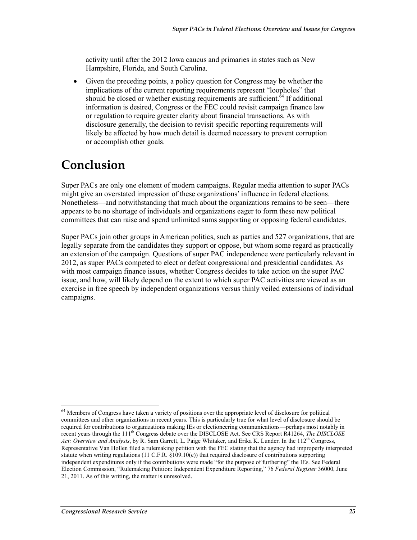activity until after the 2012 Iowa caucus and primaries in states such as New Hampshire, Florida, and South Carolina.

• Given the preceding points, a policy question for Congress may be whether the implications of the current reporting requirements represent "loopholes" that should be closed or whether existing requirements are sufficient.<sup> $64$ </sup> If additional information is desired, Congress or the FEC could revisit campaign finance law or regulation to require greater clarity about financial transactions. As with disclosure generally, the decision to revisit specific reporting requirements will likely be affected by how much detail is deemed necessary to prevent corruption or accomplish other goals.

## **Conclusion**

Super PACs are only one element of modern campaigns. Regular media attention to super PACs might give an overstated impression of these organizations' influence in federal elections. Nonetheless—and notwithstanding that much about the organizations remains to be seen—there appears to be no shortage of individuals and organizations eager to form these new political committees that can raise and spend unlimited sums supporting or opposing federal candidates.

Super PACs join other groups in American politics, such as parties and 527 organizations, that are legally separate from the candidates they support or oppose, but whom some regard as practically an extension of the campaign. Questions of super PAC independence were particularly relevant in 2012, as super PACs competed to elect or defeat congressional and presidential candidates. As with most campaign finance issues, whether Congress decides to take action on the super PAC issue, and how, will likely depend on the extent to which super PAC activities are viewed as an exercise in free speech by independent organizations versus thinly veiled extensions of individual campaigns.

<sup>&</sup>lt;sup>64</sup> Members of Congress have taken a variety of positions over the appropriate level of disclosure for political committees and other organizations in recent years. This is particularly true for what level of disclosure should be required for contributions to organizations making IEs or electioneering communications—perhaps most notably in recent years through the 111th Congress debate over the DISCLOSE Act. See CRS Report R41264, *The DISCLOSE*  Act: Overview and Analysis, by R. Sam Garrett, L. Paige Whitaker, and Erika K. Lunder. In the 112<sup>th</sup> Congress, Representative Van Hollen filed a rulemaking petition with the FEC stating that the agency had improperly interpreted statute when writing regulations  $(11 \text{ C.F.R. } §109.10(e))$  that required disclosure of contributions supporting independent expenditures only if the contributions were made "for the purpose of furthering" the IEs. See Federal Election Commission, "Rulemaking Petition: Independent Expenditure Reporting," 76 *Federal Register* 36000, June 21, 2011. As of this writing, the matter is unresolved.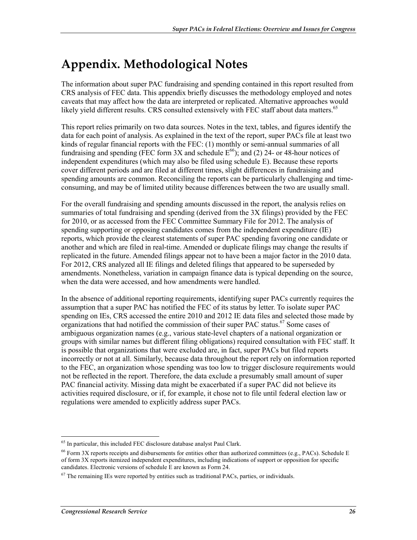# **Appendix. Methodological Notes**

The information about super PAC fundraising and spending contained in this report resulted from CRS analysis of FEC data. This appendix briefly discusses the methodology employed and notes caveats that may affect how the data are interpreted or replicated. Alternative approaches would likely yield different results. CRS consulted extensively with FEC staff about data matters.<sup>65</sup>

This report relies primarily on two data sources. Notes in the text, tables, and figures identify the data for each point of analysis. As explained in the text of the report, super PACs file at least two kinds of regular financial reports with the FEC: (1) monthly or semi-annual summaries of all fundraising and spending (FEC form 3X and schedule  $E^{66}$ ); and (2) 24- or 48-hour notices of independent expenditures (which may also be filed using schedule E). Because these reports cover different periods and are filed at different times, slight differences in fundraising and spending amounts are common. Reconciling the reports can be particularly challenging and timeconsuming, and may be of limited utility because differences between the two are usually small.

For the overall fundraising and spending amounts discussed in the report, the analysis relies on summaries of total fundraising and spending (derived from the 3X filings) provided by the FEC for 2010, or as accessed from the FEC Committee Summary File for 2012. The analysis of spending supporting or opposing candidates comes from the independent expenditure (IE) reports, which provide the clearest statements of super PAC spending favoring one candidate or another and which are filed in real-time. Amended or duplicate filings may change the results if replicated in the future. Amended filings appear not to have been a major factor in the 2010 data. For 2012, CRS analyzed all IE filings and deleted filings that appeared to be superseded by amendments. Nonetheless, variation in campaign finance data is typical depending on the source, when the data were accessed, and how amendments were handled.

In the absence of additional reporting requirements, identifying super PACs currently requires the assumption that a super PAC has notified the FEC of its status by letter. To isolate super PAC spending on IEs, CRS accessed the entire 2010 and 2012 IE data files and selected those made by organizations that had notified the commission of their super PAC status.<sup>67</sup> Some cases of ambiguous organization names (e.g., various state-level chapters of a national organization or groups with similar names but different filing obligations) required consultation with FEC staff. It is possible that organizations that were excluded are, in fact, super PACs but filed reports incorrectly or not at all. Similarly, because data throughout the report rely on information reported to the FEC, an organization whose spending was too low to trigger disclosure requirements would not be reflected in the report. Therefore, the data exclude a presumably small amount of super PAC financial activity. Missing data might be exacerbated if a super PAC did not believe its activities required disclosure, or if, for example, it chose not to file until federal election law or regulations were amended to explicitly address super PACs.

<sup>1</sup> 65 In particular, this included FEC disclosure database analyst Paul Clark.

<sup>&</sup>lt;sup>66</sup> Form 3X reports receipts and disbursements for entities other than authorized committees (e.g., PACs). Schedule E of form 3X reports itemized independent expenditures, including indications of support or opposition for specific candidates. Electronic versions of schedule E are known as Form 24.

 $67$  The remaining IEs were reported by entities such as traditional PACs, parties, or individuals.